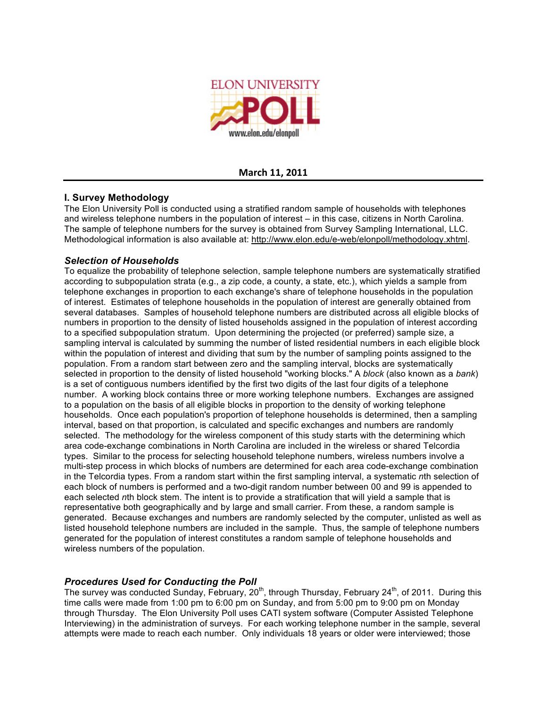

#### **March
11,
2011**

## **I. Survey Methodology**

The Elon University Poll is conducted using a stratified random sample of households with telephones and wireless telephone numbers in the population of interest – in this case, citizens in North Carolina. The sample of telephone numbers for the survey is obtained from Survey Sampling International, LLC. Methodological information is also available at: http://www.elon.edu/e-web/elonpoll/methodology.xhtml.

## *Selection of Households*

To equalize the probability of telephone selection, sample telephone numbers are systematically stratified according to subpopulation strata (e.g., a zip code, a county, a state, etc.), which yields a sample from telephone exchanges in proportion to each exchange's share of telephone households in the population of interest. Estimates of telephone households in the population of interest are generally obtained from several databases. Samples of household telephone numbers are distributed across all eligible blocks of numbers in proportion to the density of listed households assigned in the population of interest according to a specified subpopulation stratum. Upon determining the projected (or preferred) sample size, a sampling interval is calculated by summing the number of listed residential numbers in each eligible block within the population of interest and dividing that sum by the number of sampling points assigned to the population. From a random start between zero and the sampling interval, blocks are systematically selected in proportion to the density of listed household "working blocks." A *block* (also known as a *bank*) is a set of contiguous numbers identified by the first two digits of the last four digits of a telephone number. A working block contains three or more working telephone numbers. Exchanges are assigned to a population on the basis of all eligible blocks in proportion to the density of working telephone households. Once each population's proportion of telephone households is determined, then a sampling interval, based on that proportion, is calculated and specific exchanges and numbers are randomly selected. The methodology for the wireless component of this study starts with the determining which area code-exchange combinations in North Carolina are included in the wireless or shared Telcordia types. Similar to the process for selecting household telephone numbers, wireless numbers involve a multi-step process in which blocks of numbers are determined for each area code-exchange combination in the Telcordia types. From a random start within the first sampling interval, a systematic *n*th selection of each block of numbers is performed and a two-digit random number between 00 and 99 is appended to each selected *n*th block stem. The intent is to provide a stratification that will yield a sample that is representative both geographically and by large and small carrier. From these, a random sample is generated. Because exchanges and numbers are randomly selected by the computer, unlisted as well as listed household telephone numbers are included in the sample. Thus, the sample of telephone numbers generated for the population of interest constitutes a random sample of telephone households and wireless numbers of the population.

# *Procedures Used for Conducting the Poll*

The survey was conducted Sunday, February, 20<sup>th</sup>, through Thursday, February 24<sup>th</sup>, of 2011. During this time calls were made from 1:00 pm to 6:00 pm on Sunday, and from 5:00 pm to 9:00 pm on Monday through Thursday. The Elon University Poll uses CATI system software (Computer Assisted Telephone Interviewing) in the administration of surveys. For each working telephone number in the sample, several attempts were made to reach each number. Only individuals 18 years or older were interviewed; those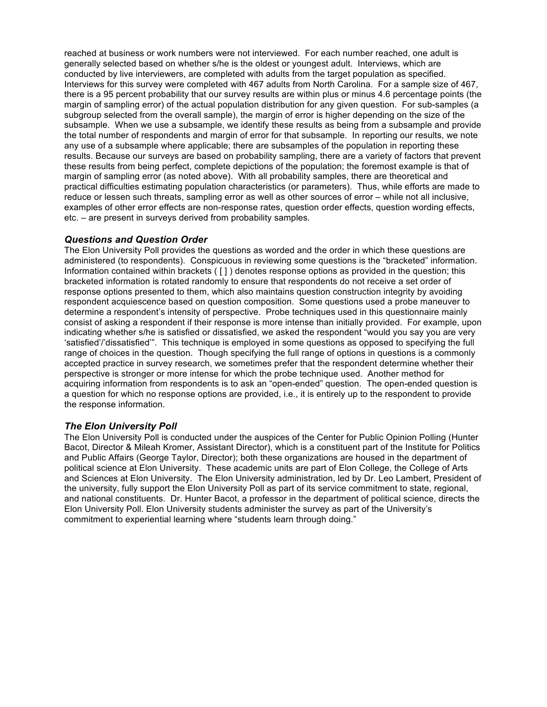reached at business or work numbers were not interviewed. For each number reached, one adult is generally selected based on whether s/he is the oldest or youngest adult. Interviews, which are conducted by live interviewers, are completed with adults from the target population as specified. Interviews for this survey were completed with 467 adults from North Carolina. For a sample size of 467, there is a 95 percent probability that our survey results are within plus or minus 4.6 percentage points (the margin of sampling error) of the actual population distribution for any given question. For sub-samples (a subgroup selected from the overall sample), the margin of error is higher depending on the size of the subsample. When we use a subsample, we identify these results as being from a subsample and provide the total number of respondents and margin of error for that subsample. In reporting our results, we note any use of a subsample where applicable; there are subsamples of the population in reporting these results. Because our surveys are based on probability sampling, there are a variety of factors that prevent these results from being perfect, complete depictions of the population; the foremost example is that of margin of sampling error (as noted above). With all probability samples, there are theoretical and practical difficulties estimating population characteristics (or parameters). Thus, while efforts are made to reduce or lessen such threats, sampling error as well as other sources of error – while not all inclusive, examples of other error effects are non-response rates, question order effects, question wording effects, etc. – are present in surveys derived from probability samples.

#### *Questions and Question Order*

The Elon University Poll provides the questions as worded and the order in which these questions are administered (to respondents). Conspicuous in reviewing some questions is the "bracketed" information. Information contained within brackets ( [ ] ) denotes response options as provided in the question; this bracketed information is rotated randomly to ensure that respondents do not receive a set order of response options presented to them, which also maintains question construction integrity by avoiding respondent acquiescence based on question composition. Some questions used a probe maneuver to determine a respondent's intensity of perspective. Probe techniques used in this questionnaire mainly consist of asking a respondent if their response is more intense than initially provided. For example, upon indicating whether s/he is satisfied or dissatisfied, we asked the respondent "would you say you are very 'satisfied'/'dissatisfied'". This technique is employed in some questions as opposed to specifying the full range of choices in the question. Though specifying the full range of options in questions is a commonly accepted practice in survey research, we sometimes prefer that the respondent determine whether their perspective is stronger or more intense for which the probe technique used. Another method for acquiring information from respondents is to ask an "open-ended" question. The open-ended question is a question for which no response options are provided, i.e., it is entirely up to the respondent to provide the response information.

### *The Elon University Poll*

The Elon University Poll is conducted under the auspices of the Center for Public Opinion Polling (Hunter Bacot, Director & Mileah Kromer, Assistant Director), which is a constituent part of the Institute for Politics and Public Affairs (George Taylor, Director); both these organizations are housed in the department of political science at Elon University. These academic units are part of Elon College, the College of Arts and Sciences at Elon University. The Elon University administration, led by Dr. Leo Lambert, President of the university, fully support the Elon University Poll as part of its service commitment to state, regional, and national constituents. Dr. Hunter Bacot, a professor in the department of political science, directs the Elon University Poll. Elon University students administer the survey as part of the University's commitment to experiential learning where "students learn through doing."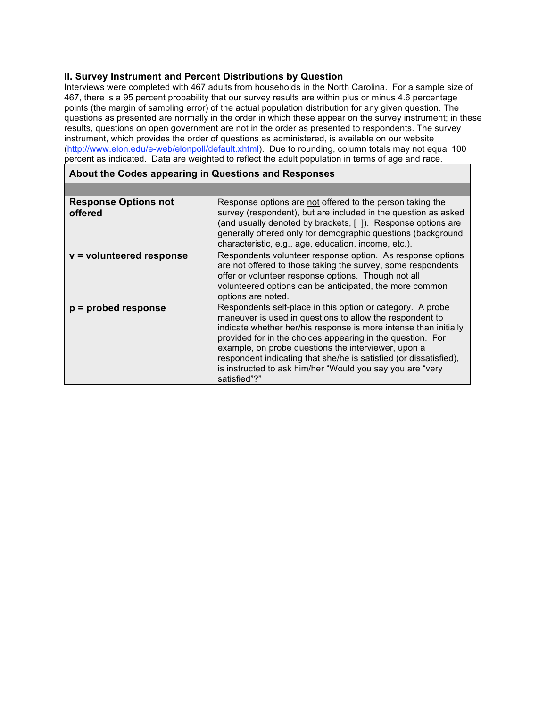## **II. Survey Instrument and Percent Distributions by Question**

Interviews were completed with 467 adults from households in the North Carolina. For a sample size of 467, there is a 95 percent probability that our survey results are within plus or minus 4.6 percentage points (the margin of sampling error) of the actual population distribution for any given question. The questions as presented are normally in the order in which these appear on the survey instrument; in these results, questions on open government are not in the order as presented to respondents. The survey instrument, which provides the order of questions as administered, is available on our website (http://www.elon.edu/e-web/elonpoll/default.xhtml). Due to rounding, column totals may not equal 100 percent as indicated. Data are weighted to reflect the adult population in terms of age and race.

| <b>Response Options not</b><br>offered | Response options are not offered to the person taking the<br>survey (respondent), but are included in the question as asked<br>(and usually denoted by brackets, []). Response options are<br>generally offered only for demographic questions (background<br>characteristic, e.g., age, education, income, etc.).                                                                                                                                                |
|----------------------------------------|-------------------------------------------------------------------------------------------------------------------------------------------------------------------------------------------------------------------------------------------------------------------------------------------------------------------------------------------------------------------------------------------------------------------------------------------------------------------|
| $v =$ volunteered response             | Respondents volunteer response option. As response options<br>are not offered to those taking the survey, some respondents<br>offer or volunteer response options. Though not all<br>volunteered options can be anticipated, the more common<br>options are noted.                                                                                                                                                                                                |
| $p =$ probed response                  | Respondents self-place in this option or category. A probe<br>maneuver is used in questions to allow the respondent to<br>indicate whether her/his response is more intense than initially<br>provided for in the choices appearing in the question. For<br>example, on probe questions the interviewer, upon a<br>respondent indicating that she/he is satisfied (or dissatisfied),<br>is instructed to ask him/her "Would you say you are "very<br>satisfied"?" |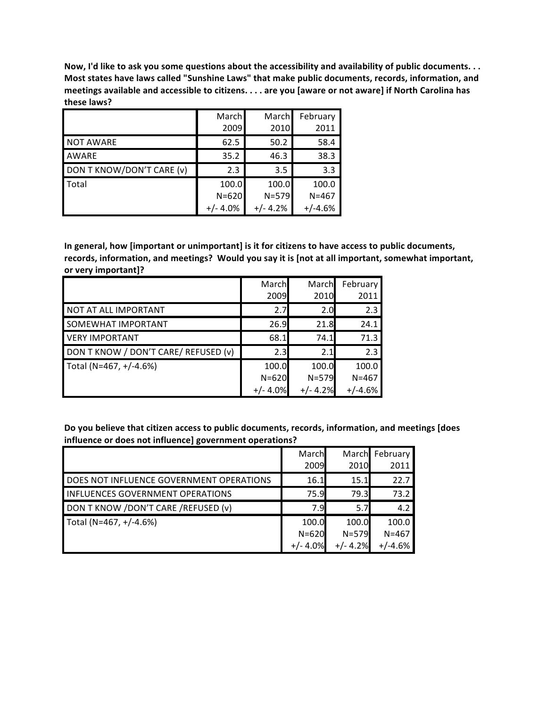Now, I'd like to ask you some questions about the accessibility and availability of public documents. . . **Most states have laws called "Sunshine Laws" that make public documents, records, information, and** meetings available and accessible to citizens. . . . are you [aware or not aware] if North Carolina has **these laws?**

|                           | March      | March      | February  |
|---------------------------|------------|------------|-----------|
|                           | 2009       | 2010       | 2011      |
| <b>NOT AWARE</b>          | 62.5       | 50.2       | 58.4      |
| <b>AWARE</b>              | 35.2       | 46.3       | 38.3      |
| DON T KNOW/DON'T CARE (v) | 2.3        | 3.5        | 3.3       |
| Total                     | 100.0      | 100.0      | 100.0     |
|                           | $N = 620$  | $N = 579$  | $N = 467$ |
|                           | $+/- 4.0%$ | $+/- 4.2%$ | $+/-4.6%$ |

**In general, how [important or unimportant] is it for citizens to have access to public documents, records, information, and meetings? Would you say it is [not at all important, somewhat important, or very important]?**

|                                      | March<br>2009 | March<br>2010 | February<br>2011 |
|--------------------------------------|---------------|---------------|------------------|
| NOT AT ALL IMPORTANT                 | 2.7           | 2.0           | 2.3              |
| <b>SOMEWHAT IMPORTANT</b>            | 26.9          | 21.8          | 24.1             |
| <b>VERY IMPORTANT</b>                | 68.1          | 74.1          | 71.3             |
| DON T KNOW / DON'T CARE/ REFUSED (v) | 2.3           | 2.1           | 2.3              |
| Total (N=467, +/-4.6%)               | 100.0         | 100.0         | 100.0            |
|                                      | $N = 620$     | $N = 579$     | $N = 467$        |
|                                      | +/- 4.0%      | 42%           | $+/-4.6%$        |

**Do you believe that citizen access to public documents, records, information, and meetings [does influence or does not influence] government operations?**

|                                          | March      |            | March February |
|------------------------------------------|------------|------------|----------------|
|                                          | 2009       | 2010       | 2011           |
| DOES NOT INFLUENCE GOVERNMENT OPERATIONS | 16.1       | 15.1       | 22.7           |
| <b>INFLUENCES GOVERNMENT OPERATIONS</b>  | 75.9       | 79.3       | 73.2           |
| DON T KNOW / DON'T CARE / REFUSED (v)    | 7.9        | 5.71       | 4.2            |
| Total (N=467, +/-4.6%)                   | 100.0      | 100.0      | 100.0          |
|                                          | $N = 620$  | $N = 579$  | $N = 467$      |
|                                          | $+/- 4.0%$ | $+/- 4.2%$ | $+/-4.6%$      |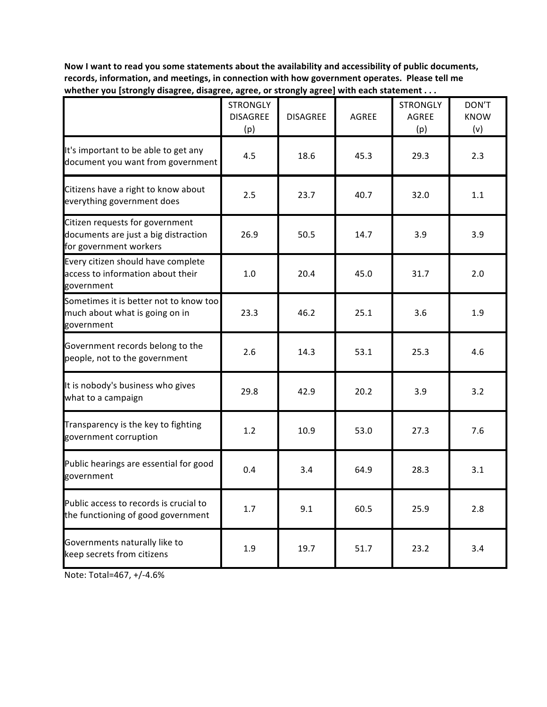**Now I want to read you some statements about the availability and accessibility of public documents, records, information, and meetings, in connection with how government operates. Please tell me whether you [strongly disagree, disagree, agree, or strongly agree] with each statement . . .**

|                                                                                                   | <b>STRONGLY</b><br><b>DISAGREE</b><br>(p) | <b>DISAGREE</b> | <b>AGREE</b> | <b>STRONGLY</b><br><b>AGREE</b><br>(p) | DON'T<br><b>KNOW</b><br>(v) |
|---------------------------------------------------------------------------------------------------|-------------------------------------------|-----------------|--------------|----------------------------------------|-----------------------------|
| It's important to be able to get any<br>document you want from government                         | 4.5                                       | 18.6            | 45.3         | 29.3                                   | 2.3                         |
| Citizens have a right to know about<br>everything government does                                 | 2.5                                       | 23.7            | 40.7         | 32.0                                   | 1.1                         |
| Citizen requests for government<br>documents are just a big distraction<br>for government workers | 26.9                                      | 50.5            | 14.7         | 3.9                                    | 3.9                         |
| Every citizen should have complete<br>access to information about their<br>government             | 1.0                                       | 20.4            | 45.0         | 31.7                                   | 2.0                         |
| Sometimes it is better not to know too<br>much about what is going on in<br>government            | 23.3                                      | 46.2            | 25.1         | 3.6                                    | 1.9                         |
| Government records belong to the<br>people, not to the government                                 | 2.6                                       | 14.3            | 53.1         | 25.3                                   | 4.6                         |
| It is nobody's business who gives<br>what to a campaign                                           | 29.8                                      | 42.9            | 20.2         | 3.9                                    | 3.2                         |
| Transparency is the key to fighting<br>government corruption                                      | 1.2                                       | 10.9            | 53.0         | 27.3                                   | 7.6                         |
| Public hearings are essential for good<br>government                                              | 0.4                                       | 3.4             | 64.9         | 28.3                                   | 3.1                         |
| Public access to records is crucial to<br>the functioning of good government                      | 1.7                                       | 9.1             | 60.5         | 25.9                                   | 2.8                         |
| Governments naturally like to<br>keep secrets from citizens                                       | 1.9                                       | 19.7            | 51.7         | 23.2                                   | 3.4                         |

Note: Total=467, +/‐4.6%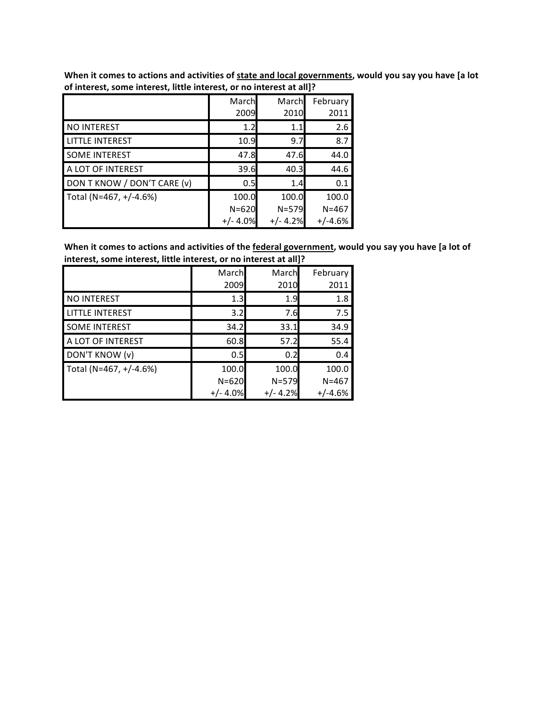| 01 merciest, some merciest, neue merciest, or no merciest at anj; |                                  |                                  |                                 |
|-------------------------------------------------------------------|----------------------------------|----------------------------------|---------------------------------|
|                                                                   | March<br>2009                    | March<br>2010                    | February<br>2011                |
| NO INTEREST                                                       | 1.2                              | 1.1                              | 2.6                             |
| <b>LITTLE INTEREST</b>                                            | 10.9                             | 9.7                              | 8.7                             |
| <b>SOME INTEREST</b>                                              | 47.8                             | 47.6                             | 44.0                            |
| A LOT OF INTEREST                                                 | 39.6                             | 40.3                             | 44.6                            |
| DON T KNOW / DON'T CARE (v)                                       | 0.5                              | 1.4                              | 0.1                             |
| Total (N=467, +/-4.6%)                                            | 100.0<br>$N = 620$<br>$+/- 4.0%$ | 100.0<br>$N = 579$<br>$+/- 4.2%$ | 100.0<br>$N = 467$<br>$+/-4.6%$ |

When it comes to actions and activities of state and local governments, would you say you have [a lot **of interest, some interest, little interest, or no interest at all]?**

When it comes to actions and activities of the federal government, would you say you have [a lot of **interest, some interest, little interest, or no interest at all]?**

|                        | March      | March      | February  |
|------------------------|------------|------------|-----------|
|                        | 2009       | 2010       | 2011      |
| NO INTEREST            | 1.3        | 1.9        | 1.8       |
| <b>LITTLE INTEREST</b> | 3.2        | 7.6        | 7.5       |
| <b>SOME INTEREST</b>   | 34.2       | 33.1       | 34.9      |
| A LOT OF INTEREST      | 60.8       | 57.2       | 55.4      |
| DON'T KNOW (v)         | 0.5        | 0.2        | 0.4       |
| Total (N=467, +/-4.6%) | 100.0      | 100.0      | 100.0     |
|                        | $N = 620$  | $N = 579$  | $N = 467$ |
|                        | $+/- 4.0%$ | $+/- 4.2%$ | +/-4.6%   |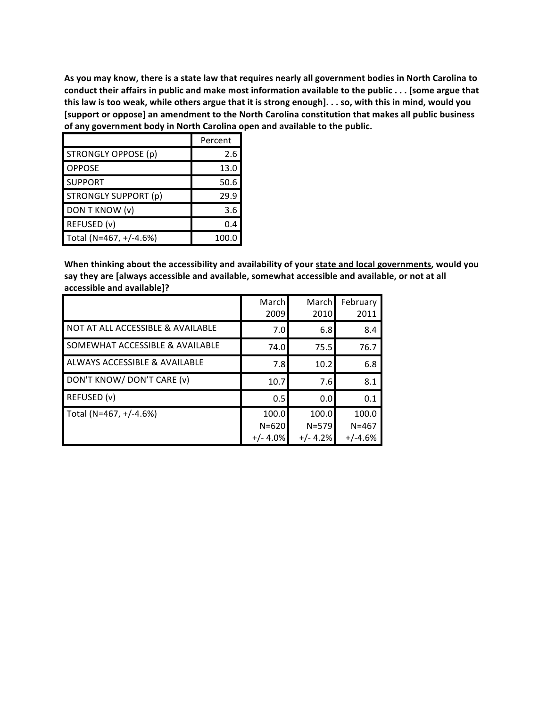As you may know, there is a state law that requires nearly all government bodies in North Carolina to conduct their affairs in public and make most information available to the public . . . [some argue that this law is too weak, while others argue that it is strong enough]. . . so, with this in mind, would you **[support or oppose] an amendment to the North Carolina constitution that makes all public business of any government body in North Carolina open and available to the public.**

|                             | Percent |
|-----------------------------|---------|
| <b>STRONGLY OPPOSE (p)</b>  | 2.6     |
| <b>OPPOSE</b>               | 13.0    |
| <b>SUPPORT</b>              | 50.6    |
| <b>STRONGLY SUPPORT (p)</b> | 29.9    |
| DON T KNOW (v)              | 3.6     |
| REFUSED (v)                 | 0.4     |
| Total (N=467, +/-4.6%)      | 100.0   |

**When thinking about the accessibility and availability of your state and local governments, would you say they are [always accessible and available, somewhat accessible and available, or not at all accessible and available]?**

|                                            | March<br>2009 | March<br>2010 | February<br>2011 |
|--------------------------------------------|---------------|---------------|------------------|
| NOT AT ALL ACCESSIBLE & AVAILABLE          | 7.0           | 6.8           | 8.4              |
| <b>SOMEWHAT ACCESSIBLE &amp; AVAILABLE</b> | 74.0          | 75.5          | 76.7             |
| <b>ALWAYS ACCESSIBLE &amp; AVAILABLE</b>   | 7.8           | 10.2          | 6.8              |
| DON'T KNOW/DON'T CARE (v)                  | 10.7          | 7.6           | 8.1              |
| REFUSED (v)                                | 0.5           | 0.0           | 0.1              |
| Total (N=467, +/-4.6%)                     | 100.0         | 100.0         | 100.0            |
|                                            | $N = 620$     | $N = 579$     | $N = 467$        |
|                                            | $+/- 4.0\%$   | $+/- 4.2%$    | $+/-4.6%$        |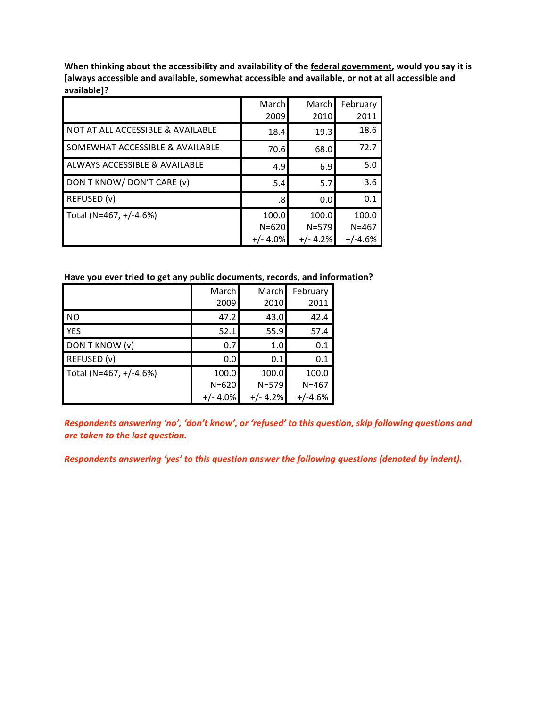**When thinking about the accessibility and availability of the federal government, would you say it is [always accessible and available, somewhat accessible and available, or not at all accessible and available]?**

|                                              | March<br>2009                     | March<br>2010                    | February<br>2011                |
|----------------------------------------------|-----------------------------------|----------------------------------|---------------------------------|
| <b>NOT AT ALL ACCESSIBLE &amp; AVAILABLE</b> | 18.4                              | 19.3                             | 18.6                            |
| <b>SOMEWHAT ACCESSIBLE &amp; AVAILABLE</b>   | 70.6                              | 68.0                             | 72.7                            |
| <b>ALWAYS ACCESSIBLE &amp; AVAILABLE</b>     | 4.9                               | 6.9                              | 5.0                             |
| DON T KNOW/DON'T CARE (v)                    | 5.4                               | 5.7                              | 3.6                             |
| REFUSED (v)                                  | .8                                | 0.0                              | 0.1                             |
| Total (N=467, +/-4.6%)                       | 100.0<br>$N = 620$<br>$+/- 4.0\%$ | 100.0<br>$N = 579$<br>$+/- 4.2%$ | 100.0<br>$N = 467$<br>$+/-4.6%$ |

### **Have you ever tried to get any public documents, records, and information?**

|                        | March      | March     | February  |
|------------------------|------------|-----------|-----------|
|                        | 2009       | 2010      | 2011      |
| NO                     | 47.2       | 43.0      | 42.4      |
| <b>YES</b>             | 52.1       | 55.9      | 57.4      |
| DON T KNOW (v)         | 0.7        | 1.0       | 0.1       |
| REFUSED (v)            | 0.0        | 0.1       | 0.1       |
| Total (N=467, +/-4.6%) | 100.0      | 100.0     | 100.0     |
|                        | $N = 620$  | $N = 579$ | $N = 467$ |
|                        | $+/- 4.0%$ | +/- 4.2%  | $+/-4.6%$ |

*Respondents answering 'no', 'don't know', or 'refused' to this question, skip following questions and are taken to the last question.*

*Respondents answering 'yes' to this question answer the following questions (denoted by indent).*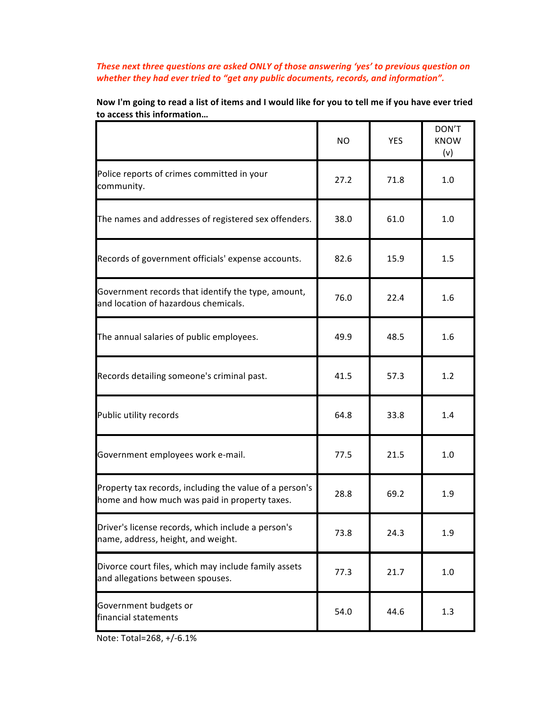## *These next three questions are asked ONLY of those answering 'yes' to previous question on whether they had ever tried to "get any public documents, records, and information".*

|                                                                                                          | <b>NO</b>    | <b>YES</b> | DON'T<br><b>KNOW</b><br>(v) |
|----------------------------------------------------------------------------------------------------------|--------------|------------|-----------------------------|
| Police reports of crimes committed in your<br>community.                                                 | 27.2<br>71.8 |            | 1.0                         |
| The names and addresses of registered sex offenders.                                                     | 38.0<br>61.0 |            | 1.0                         |
| Records of government officials' expense accounts.                                                       | 82.6         | 15.9       | 1.5                         |
| Government records that identify the type, amount,<br>76.0<br>and location of hazardous chemicals.       |              | 22.4       | 1.6                         |
| The annual salaries of public employees.                                                                 | 49.9         | 48.5       | 1.6                         |
| Records detailing someone's criminal past.                                                               | 41.5<br>57.3 |            | 1.2                         |
| Public utility records                                                                                   | 64.8         | 33.8       | 1.4                         |
| Government employees work e-mail.                                                                        | 77.5         | 21.5       | 1.0                         |
| Property tax records, including the value of a person's<br>home and how much was paid in property taxes. | 28.8         | 69.2       | 1.9                         |
| Driver's license records, which include a person's<br>name, address, height, and weight.                 | 73.8         | 24.3       | 1.9                         |
| Divorce court files, which may include family assets<br>and allegations between spouses.                 | 77.3         | 21.7       | 1.0                         |
| Government budgets or<br>financial statements                                                            | 54.0         | 44.6       | 1.3                         |

Now I'm going to read a list of items and I would like for you to tell me if you have ever tried **to access this information…**

Note: Total=268, +/‐6.1%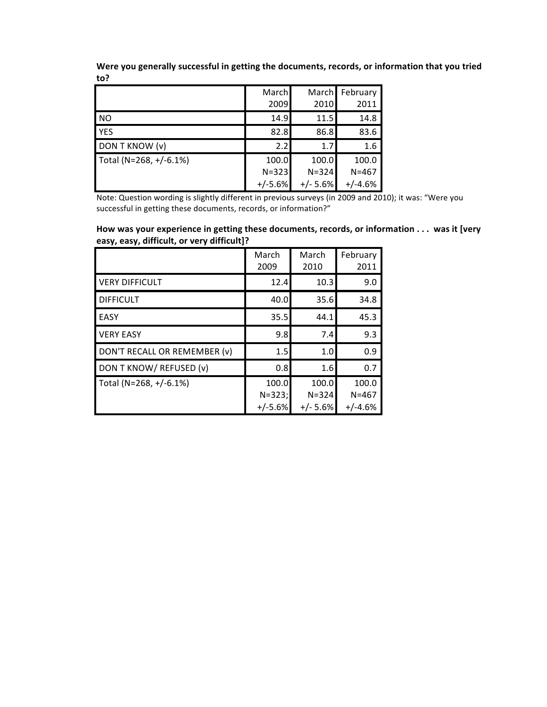**Were you generally successful in getting the documents, records, or information that you tried to?**

|                        | March     | March February |           |
|------------------------|-----------|----------------|-----------|
|                        | 2009      | 2010           | 2011      |
| N <sub>O</sub>         | 14.9      | 11.5           | 14.8      |
| <b>YES</b>             | 82.8      | 86.8           | 83.6      |
| DON T KNOW (v)         | 2.2       | 1.7            | 1.6       |
| Total (N=268, +/-6.1%) | 100.0     | 100.0          | 100.0     |
|                        | $N = 323$ | $N = 324$      | $N = 467$ |
|                        | $+/-5.6%$ | $+/- 5.6%$     | $+/-4.6%$ |

Note: Question wording is slightly different in previous surveys (in 2009 and 2010); it was: "Were you successful in getting these documents, records, or information?"

**How was your experience in getting these documents, records, or information . . . was it [very easy, easy, difficult, or very difficult]?**

|                              | March<br>2009 | March<br>2010 | February<br>2011 |  |
|------------------------------|---------------|---------------|------------------|--|
| <b>VERY DIFFICULT</b>        | 12.4          | 10.3          | 9.0              |  |
| <b>DIFFICULT</b>             | 40.0          | 35.6          | 34.8             |  |
| <b>EASY</b>                  | 35.5          | 44.1          | 45.3             |  |
| <b>VERY EASY</b>             | 9.8           | 7.4           | 9.3              |  |
| DON'T RECALL OR REMEMBER (v) | 1.5           | 1.0           | 0.9              |  |
| DON T KNOW/ REFUSED (v)      | 0.8           | 1.6           | 0.7              |  |
| Total (N=268, +/-6.1%)       | 100.0         | 100.0         | 100.0            |  |
|                              | $N = 323;$    | $N = 324$     | $N = 467$        |  |
|                              | $+/-5.6%$     | $+/- 5.6%$    | $+/-4.6%$        |  |